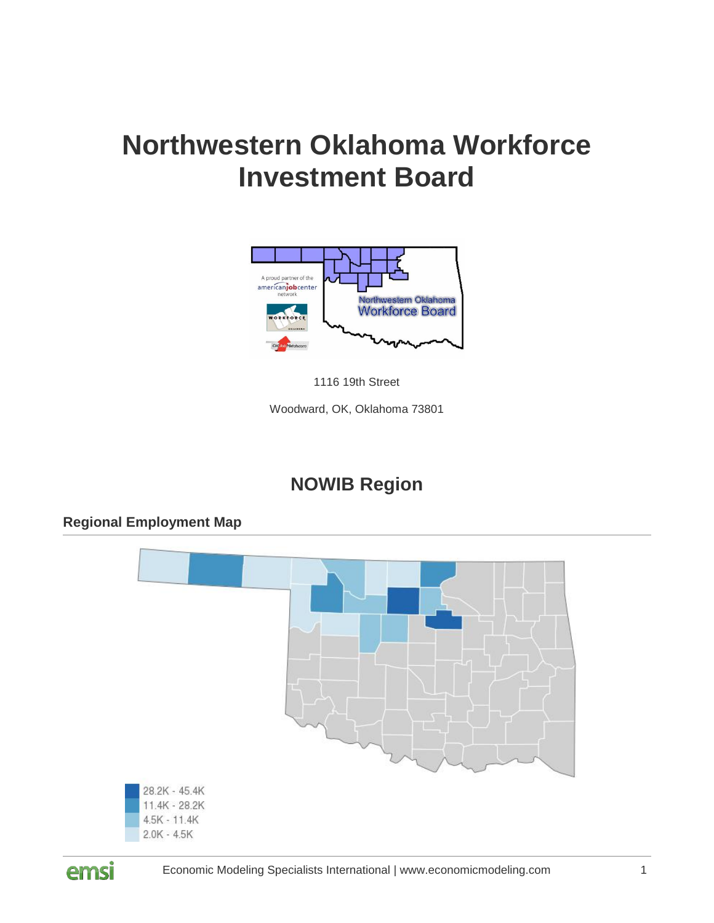# **Northwestern Oklahoma Workforce Investment Board**



1116 19th Street

Woodward, OK, Oklahoma 73801

# **NOWIB Region**

# 28.2K - 45.4K 11.4K - 28.2K  $4.5K - 11.4K$  $2.0K - 4.5K$



**Regional Employment Map**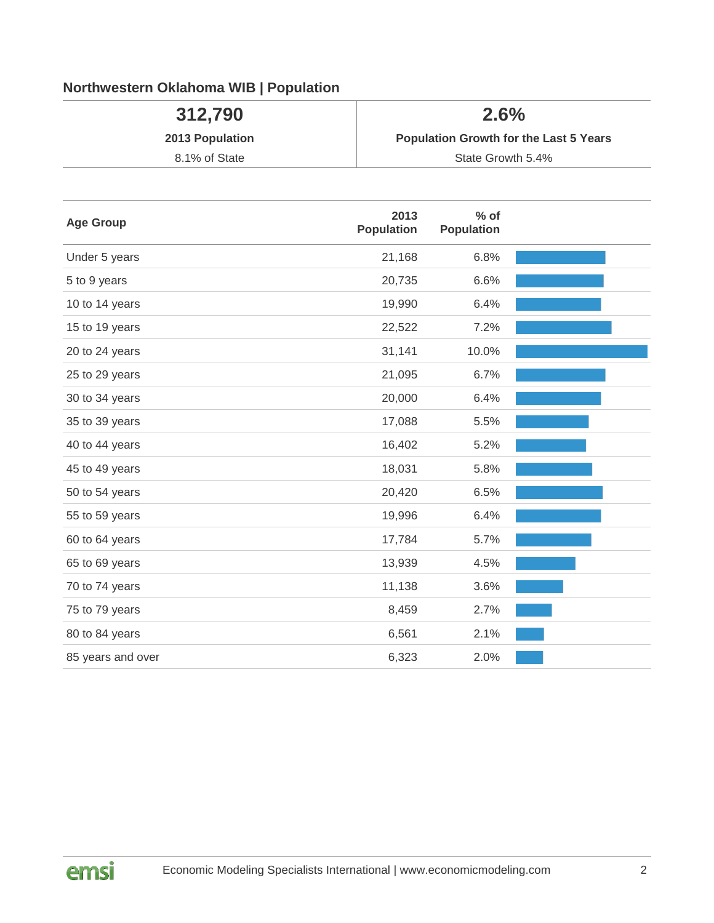# **Northwestern Oklahoma WIB | Population**

| 312,790         | 2.6%                                          |
|-----------------|-----------------------------------------------|
| 2013 Population | <b>Population Growth for the Last 5 Years</b> |
| 8.1% of State   | State Growth 5.4%                             |

| <b>Age Group</b>  | 2013<br><b>Population</b> | $%$ of<br><b>Population</b> |  |
|-------------------|---------------------------|-----------------------------|--|
| Under 5 years     | 21,168                    | 6.8%                        |  |
| 5 to 9 years      | 20,735                    | 6.6%                        |  |
| 10 to 14 years    | 19,990                    | 6.4%                        |  |
| 15 to 19 years    | 22,522                    | 7.2%                        |  |
| 20 to 24 years    | 31,141                    | 10.0%                       |  |
| 25 to 29 years    | 21,095                    | 6.7%                        |  |
| 30 to 34 years    | 20,000                    | 6.4%                        |  |
| 35 to 39 years    | 17,088                    | 5.5%                        |  |
| 40 to 44 years    | 16,402                    | 5.2%                        |  |
| 45 to 49 years    | 18,031                    | 5.8%                        |  |
| 50 to 54 years    | 20,420                    | 6.5%                        |  |
| 55 to 59 years    | 19,996                    | 6.4%                        |  |
| 60 to 64 years    | 17,784                    | 5.7%                        |  |
| 65 to 69 years    | 13,939                    | 4.5%                        |  |
| 70 to 74 years    | 11,138                    | 3.6%                        |  |
| 75 to 79 years    | 8,459                     | 2.7%                        |  |
| 80 to 84 years    | 6,561                     | 2.1%                        |  |
| 85 years and over | 6,323                     | 2.0%                        |  |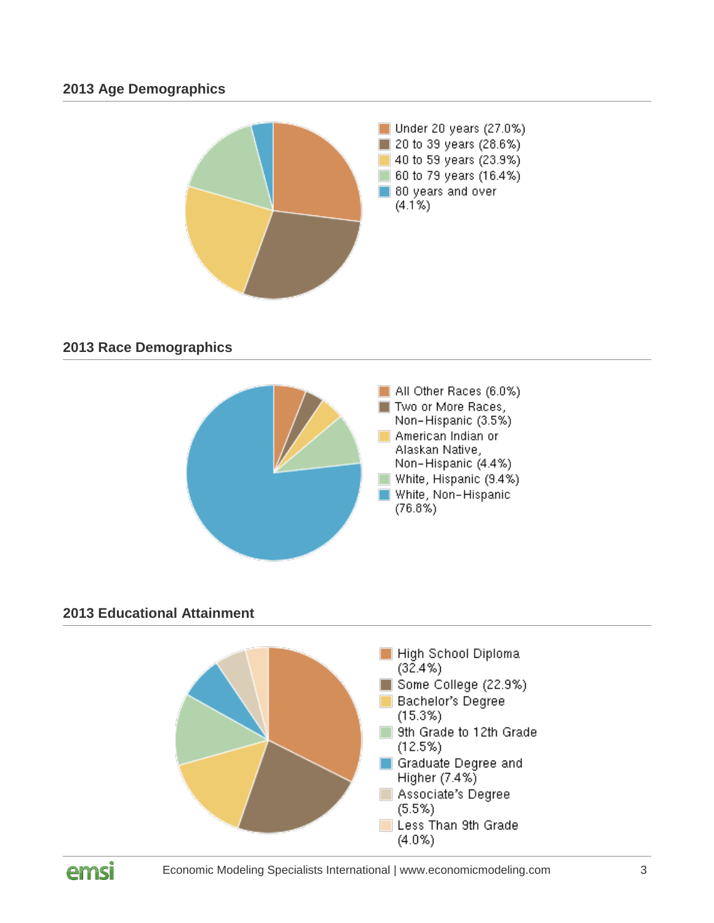#### **2013 Age Demographics**



# **2013 Race Demographics**



# **2013 Educational Attainment**



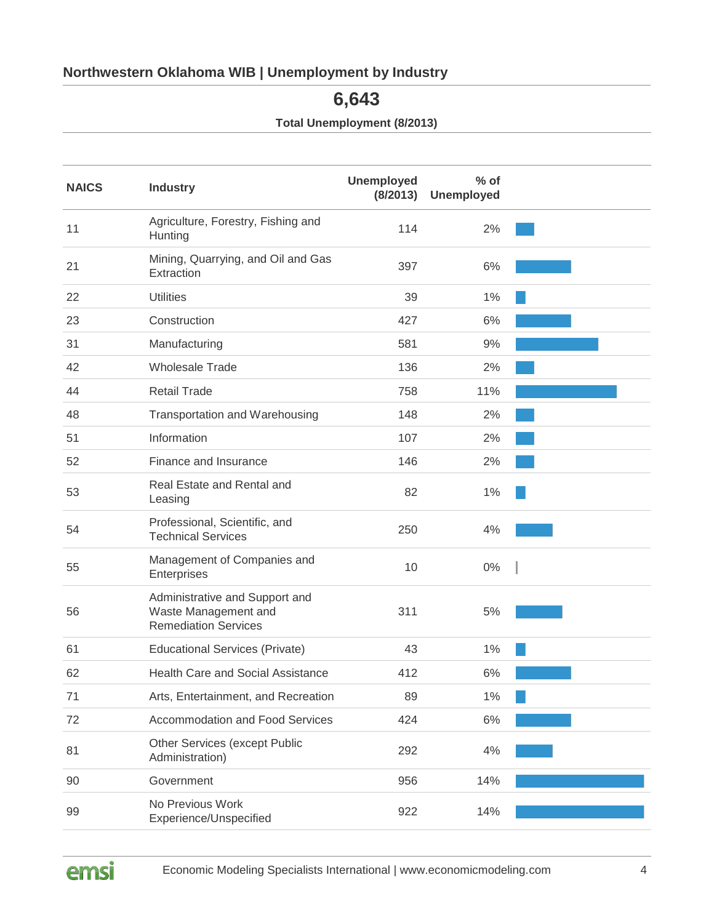# **Northwestern Oklahoma WIB | Unemployment by Industry**

**6,643**

**Total Unemployment (8/2013)**

| <b>NAICS</b> | <b>Industry</b>                                                                       | <b>Unemployed</b><br>(8/2013) | $%$ of<br><b>Unemployed</b> |  |
|--------------|---------------------------------------------------------------------------------------|-------------------------------|-----------------------------|--|
| 11           | Agriculture, Forestry, Fishing and<br>Hunting                                         | 114                           | 2%                          |  |
| 21           | Mining, Quarrying, and Oil and Gas<br>Extraction                                      | 397                           | 6%                          |  |
| 22           | <b>Utilities</b>                                                                      | 39                            | 1%                          |  |
| 23           | Construction                                                                          | 427                           | 6%                          |  |
| 31           | Manufacturing                                                                         | 581                           | 9%                          |  |
| 42           | <b>Wholesale Trade</b>                                                                | 136                           | 2%                          |  |
| 44           | <b>Retail Trade</b>                                                                   | 758                           | 11%                         |  |
| 48           | Transportation and Warehousing                                                        | 148                           | 2%                          |  |
| 51           | Information                                                                           | 107                           | 2%                          |  |
| 52           | Finance and Insurance                                                                 | 146                           | 2%                          |  |
| 53           | Real Estate and Rental and<br>Leasing                                                 | 82                            | 1%                          |  |
| 54           | Professional, Scientific, and<br><b>Technical Services</b>                            | 250                           | 4%                          |  |
| 55           | Management of Companies and<br>Enterprises                                            | 10                            | 0%                          |  |
| 56           | Administrative and Support and<br>Waste Management and<br><b>Remediation Services</b> | 311                           | 5%                          |  |
| 61           | <b>Educational Services (Private)</b>                                                 | 43                            | 1%                          |  |
| 62           | <b>Health Care and Social Assistance</b>                                              | 412                           | 6%                          |  |
| 71           | Arts, Entertainment, and Recreation                                                   | 89                            | 1%                          |  |
| 72           | <b>Accommodation and Food Services</b>                                                | 424                           | 6%                          |  |
| 81           | Other Services (except Public<br>Administration)                                      | 292                           | 4%                          |  |
| 90           | Government                                                                            | 956                           | 14%                         |  |
| 99           | No Previous Work<br>Experience/Unspecified                                            | 922                           | 14%                         |  |

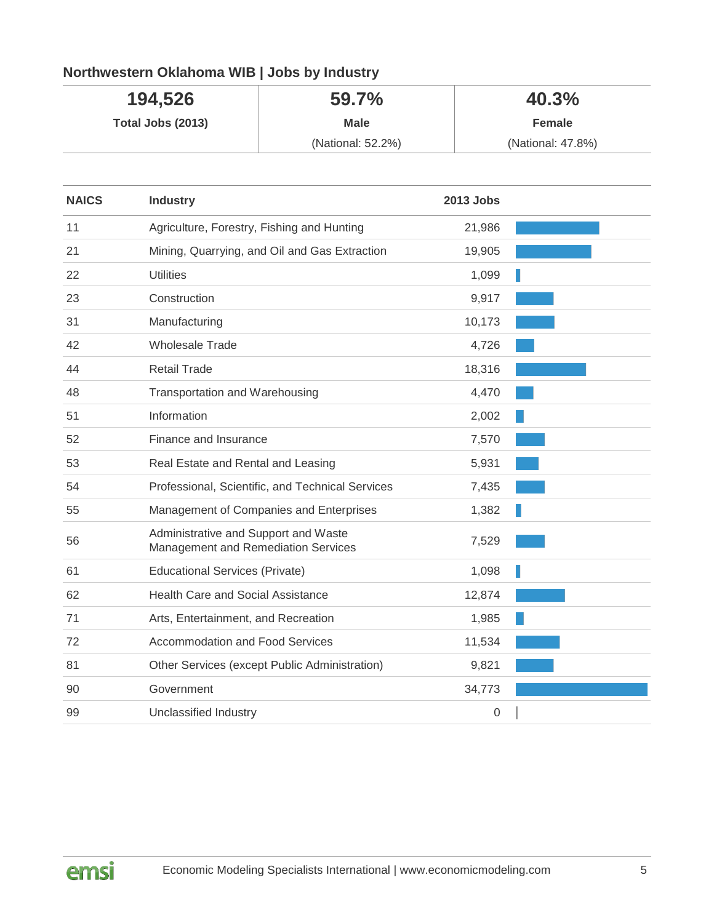# **Northwestern Oklahoma WIB | Jobs by Industry**

| 194,526           | 59.7%             | 40.3%             |
|-------------------|-------------------|-------------------|
| Total Jobs (2013) | <b>Male</b>       | Female            |
|                   | (National: 52.2%) | (National: 47.8%) |

| <b>NAICS</b> | <b>Industry</b>                                                             | <b>2013 Jobs</b> |  |
|--------------|-----------------------------------------------------------------------------|------------------|--|
| 11           | Agriculture, Forestry, Fishing and Hunting                                  | 21,986           |  |
| 21           | Mining, Quarrying, and Oil and Gas Extraction                               | 19,905           |  |
| 22           | <b>Utilities</b>                                                            | 1,099            |  |
| 23           | Construction                                                                | 9,917            |  |
| 31           | Manufacturing                                                               | 10,173           |  |
| 42           | <b>Wholesale Trade</b>                                                      | 4,726            |  |
| 44           | <b>Retail Trade</b>                                                         | 18,316           |  |
| 48           | Transportation and Warehousing                                              | 4,470            |  |
| 51           | Information                                                                 | 2,002            |  |
| 52           | Finance and Insurance                                                       | 7,570            |  |
| 53           | Real Estate and Rental and Leasing                                          | 5,931            |  |
| 54           | Professional, Scientific, and Technical Services                            | 7,435            |  |
| 55           | Management of Companies and Enterprises                                     | 1,382            |  |
| 56           | Administrative and Support and Waste<br>Management and Remediation Services | 7,529            |  |
| 61           | <b>Educational Services (Private)</b>                                       | 1,098            |  |
| 62           | <b>Health Care and Social Assistance</b>                                    | 12,874           |  |
| 71           | Arts, Entertainment, and Recreation                                         | 1,985            |  |
| 72           | <b>Accommodation and Food Services</b>                                      | 11,534           |  |
| 81           | Other Services (except Public Administration)                               | 9,821            |  |
| 90           | Government                                                                  | 34,773           |  |
| 99           | Unclassified Industry                                                       | 0                |  |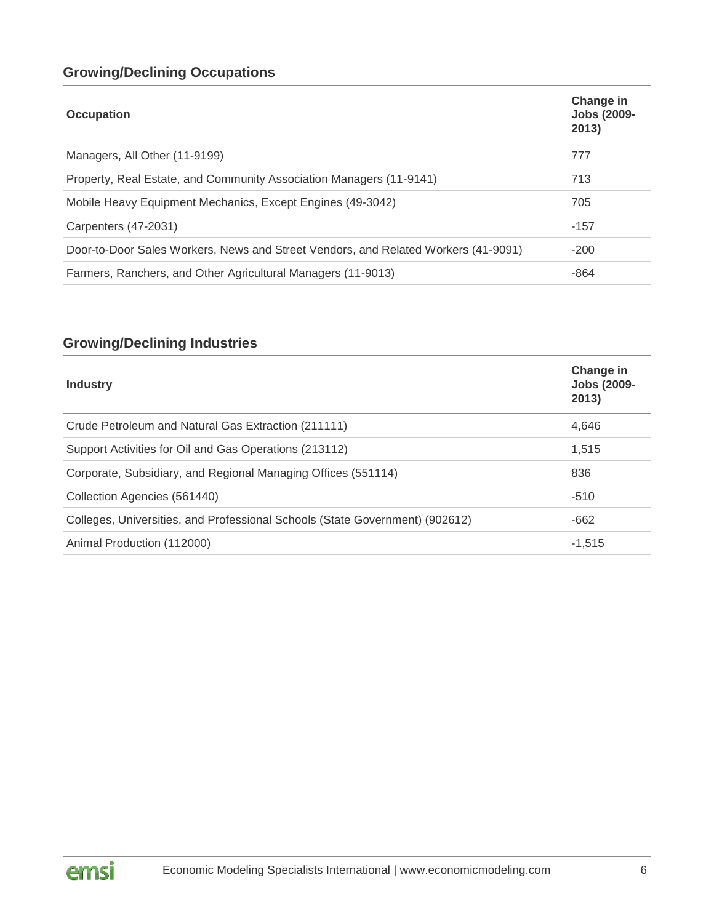# **Growing/Declining Occupations**

| <b>Occupation</b>                                                                  | Change in<br><b>Jobs (2009-</b><br>2013) |
|------------------------------------------------------------------------------------|------------------------------------------|
| Managers, All Other (11-9199)                                                      | 777                                      |
| Property, Real Estate, and Community Association Managers (11-9141)                | 713                                      |
| Mobile Heavy Equipment Mechanics, Except Engines (49-3042)                         | 705                                      |
| Carpenters (47-2031)                                                               | $-157$                                   |
| Door-to-Door Sales Workers, News and Street Vendors, and Related Workers (41-9091) | $-200$                                   |
| Farmers, Ranchers, and Other Agricultural Managers (11-9013)                       | $-864$                                   |

# **Growing/Declining Industries**

| <b>Industry</b>                                                              | Change in<br><b>Jobs (2009-</b><br>2013) |
|------------------------------------------------------------------------------|------------------------------------------|
| Crude Petroleum and Natural Gas Extraction (211111)                          | 4,646                                    |
| Support Activities for Oil and Gas Operations (213112)                       | 1,515                                    |
| Corporate, Subsidiary, and Regional Managing Offices (551114)                | 836                                      |
| Collection Agencies (561440)                                                 | $-510$                                   |
| Colleges, Universities, and Professional Schools (State Government) (902612) | $-662$                                   |
| Animal Production (112000)                                                   | $-1,515$                                 |